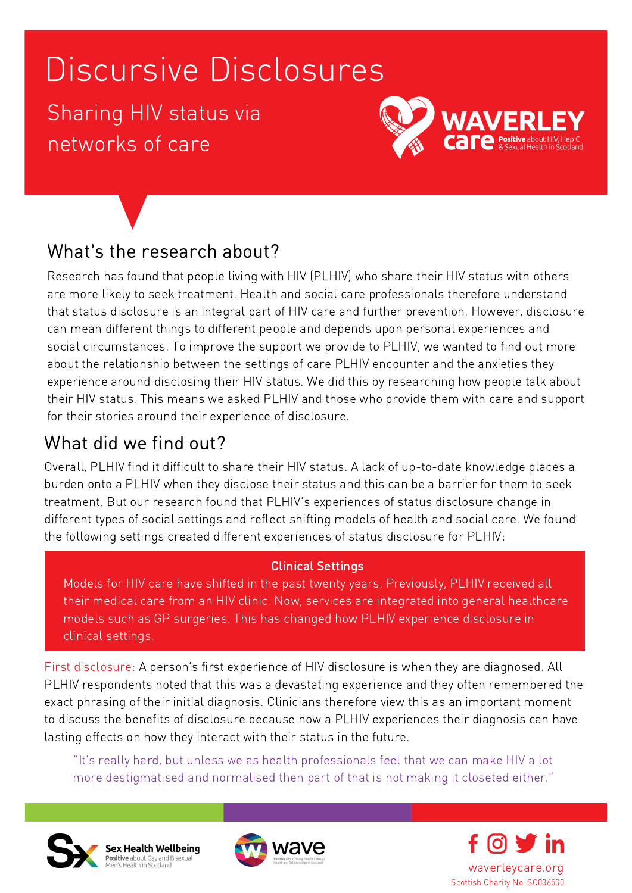Sharing HIV status via networks of care



### What's the research about?

Research has found that people living with HIV (PLHIV) who share their HIV status with others are more likely to seek treatment. Health and social care professionals therefore understand that status disclosure is an integral part of HIV care and further prevention. However, disclosure can mean different things to different people and depends upon personal experiences and social circumstances. To improve the support we provide to PLHIV, we wanted to find out more about the relationship between the settings of care PLHIV encounter and the anxieties they experience around disclosing their HIV status. We did this by researching how people talk about their HIV status. This means we asked PLHIV and those who provide them with care and support for their stories around their experience of disclosure.

### What did we find out?

Overall, PLHIV find it difficult to share their HIV status. A lack of up-to-date knowledge places a burden onto a PLHIV when they disclose their status and this can be a barrier for them to seek treatment. But our research found that PLHIV's experiences of status disclosure change in different types of social settings and reflect shifting models of health and social care. We found the following settings created different experiences of status disclosure for PLHIV:

#### Clinical Settings

Models for HIV care have shifted in the past twenty years. Previously, PLHIV received all their medical care from an HIV clinic. Now, services are integrated into general healthcare models such as GP surgeries. This has changed how PLHIV experience disclosure in clinical settings.

First disclosure: A person's first experience of HIV disclosure is when they are diagnosed. All PLHIV respondents noted that this was a devastating experience and they often remembered the exact phrasing of their initial diagnosis. Clinicians therefore view this as an important moment to discuss the benefits of disclosure because how a PLHIV experiences their diagnosis can have lasting effects on how they interact with their status in the future.

"It's really hard, but unless we as health professionals feel that we can make HIV a lot more destigmatised and normalised then part of that is not making it closeted either."







waverleycare.org Scottish Charity No. SC036500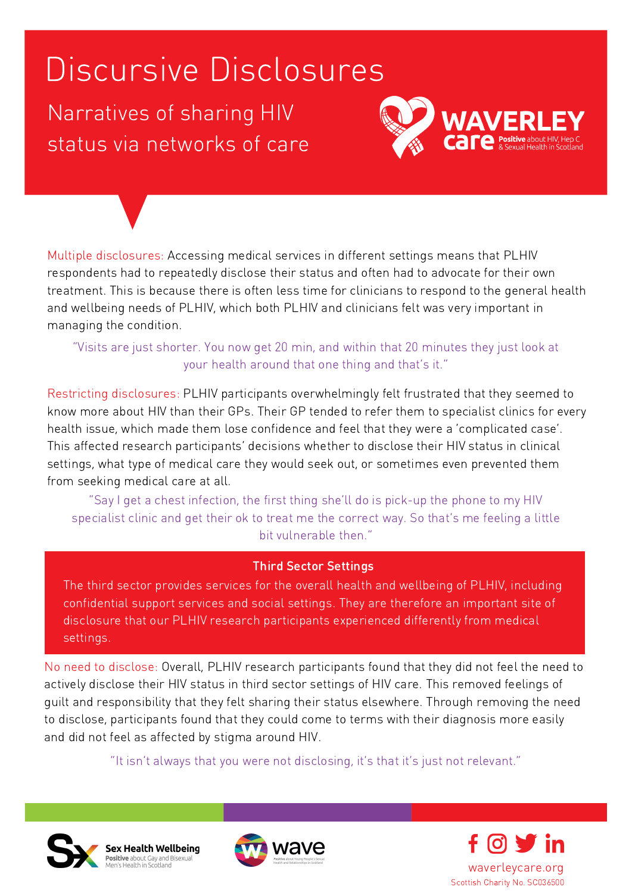Narratives of sharing HIV status via networks of care



Multiple disclosures: Accessing medical services in different settings means that PLHIV respondents had to repeatedly disclose their status and often had to advocate for their own treatment. This is because there is often less time for clinicians to respond to the general health and wellbeing needs of PLHIV, which both PLHIV and clinicians felt was very important in managing the condition.

#### "Visits are just shorter. You now get 20 min, and within that 20 minutes they just look at your health around that one thing and that's it."

Restricting disclosures: PLHIV participants overwhelmingly felt frustrated that they seemed to know more about HIV than their GPs. Their GP tended to refer them to specialist clinics for every health issue, which made them lose confidence and feel that they were a 'complicated case'. This affected research participants' decisions whether to disclose their HIV status in clinical settings, what type of medical care they would seek out, or sometimes even prevented them from seeking medical care at all.

"Say I get a chest infection, the first thing she'll do is pick-up the phone to my HIV specialist clinic and get their ok to treat me the correct way. So that's me feeling a little bit vulnerable then."

#### Third Sector Settings

The third sector provides services for the overall health and wellbeing of PLHIV, including confidential support services and social settings. They are therefore an important site of disclosure that our PLHIV research participants experienced differently from medical settings.

No need to disclose: Overall, PLHIV research participants found that they did not feel the need to actively disclose their HIV status in third sector settings of HIV care. This removed feelings of guilt and responsibility that they felt sharing their status elsewhere. Through removing the need to disclose, participants found that they could come to terms with their diagnosis more easily and did not feel as affected by stigma around HIV.

"It isn't always that you were not disclosing, it's that it's just not relevant."





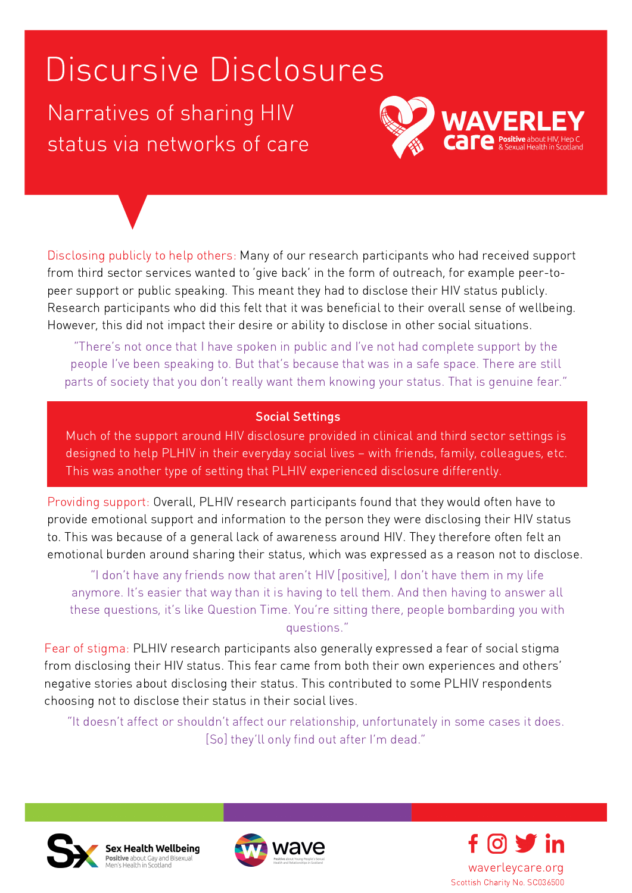Narratives of sharing HIV status via networks of care



Disclosing publicly to help others: Many of our research participants who had received support from third sector services wanted to 'give back' in the form of outreach, for example peer-topeer support or public speaking. This meant they had to disclose their HIV status publicly. Research participants who did this felt that it was beneficial to their overall sense of wellbeing. However, this did not impact their desire or ability to disclose in other social situations.

"There's not once that I have spoken in public and I've not had complete support by the people I've been speaking to. But that's because that was in a safe space. There are still parts of society that you don't really want them knowing your status. That is genuine fear."

#### Social Settings

Much of the support around HIV disclosure provided in clinical and third sector settings is designed to help PLHIV in their everyday social lives – with friends, family, colleagues, etc. This was another type of setting that PLHIV experienced disclosure differently.

Providing support: Overall, PLHIV research participants found that they would often have to provide emotional support and information to the person they were disclosing their HIV status to. This was because of a general lack of awareness around HIV. They therefore often felt an emotional burden around sharing their status, which was expressed as a reason not to disclose.

"I don't have any friends now that aren't HIV [positive], I don't have them in my life anymore. It's easier that way than it is having to tell them. And then having to answer all these questions, it's like Question Time. You're sitting there, people bombarding you with questions."

Fear of stigma: PLHIV research participants also generally expressed a fear of social stigma from disclosing their HIV status. This fear came from both their own experiences and others' negative stories about disclosing their status. This contributed to some PLHIV respondents choosing not to disclose their status in their social lives.

"It doesn't affect or shouldn't affect our relationship, unfortunately in some cases it does. [So] they'll only find out after I'm dead."







Scottish Charity No. SC036500